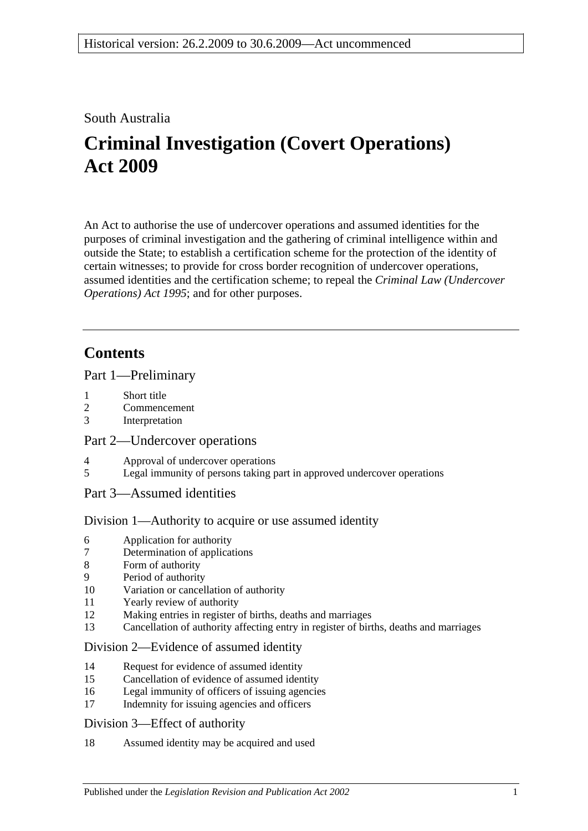## South Australia

# **Criminal Investigation (Covert Operations) Act 2009**

An Act to authorise the use of undercover operations and assumed identities for the purposes of criminal investigation and the gathering of criminal intelligence within and outside the State; to establish a certification scheme for the protection of the identity of certain witnesses; to provide for cross border recognition of undercover operations, assumed identities and the certification scheme; to repeal the *[Criminal Law \(Undercover](http://www.legislation.sa.gov.au/index.aspx?action=legref&type=act&legtitle=Criminal%20Law%20(Undercover%20Operations)%20Act%201995)  [Operations\) Act](http://www.legislation.sa.gov.au/index.aspx?action=legref&type=act&legtitle=Criminal%20Law%20(Undercover%20Operations)%20Act%201995) 1995*; and for other purposes.

## **Contents**

## [Part 1—Preliminary](#page-2-0)

- 1 [Short title](#page-2-1)
- 2 [Commencement](#page-2-2)
- 3 [Interpretation](#page-2-3)

## [Part 2—Undercover operations](#page-6-0)

- 4 [Approval of undercover operations](#page-6-1)<br>5 Legal immunity of persons taking r
- [Legal immunity of persons taking part in approved undercover operations](#page-7-0)

## [Part 3—Assumed identities](#page-8-0)

## [Division 1—Authority to acquire or use assumed identity](#page-8-1)

- 6 [Application for authority](#page-8-2)
- 7 [Determination of applications](#page-8-3)
- 8 [Form of authority](#page-9-0)
- 9 [Period of authority](#page-10-0)
- 10 [Variation or cancellation of authority](#page-10-1)
- 11 [Yearly review of authority](#page-10-2)
- 12 [Making entries in register of births, deaths and marriages](#page-11-0)
- 13 [Cancellation of authority affecting entry in register of births, deaths and marriages](#page-11-1)

## [Division 2—Evidence of assumed identity](#page-12-0)

- 14 [Request for evidence of assumed identity](#page-12-1)
- 15 [Cancellation of evidence of assumed identity](#page-12-2)
- 16 [Legal immunity of officers of issuing agencies](#page-12-3)
- 17 [Indemnity for issuing agencies and officers](#page-13-0)

#### [Division 3—Effect of authority](#page-13-1)

18 [Assumed identity may be acquired and used](#page-13-2)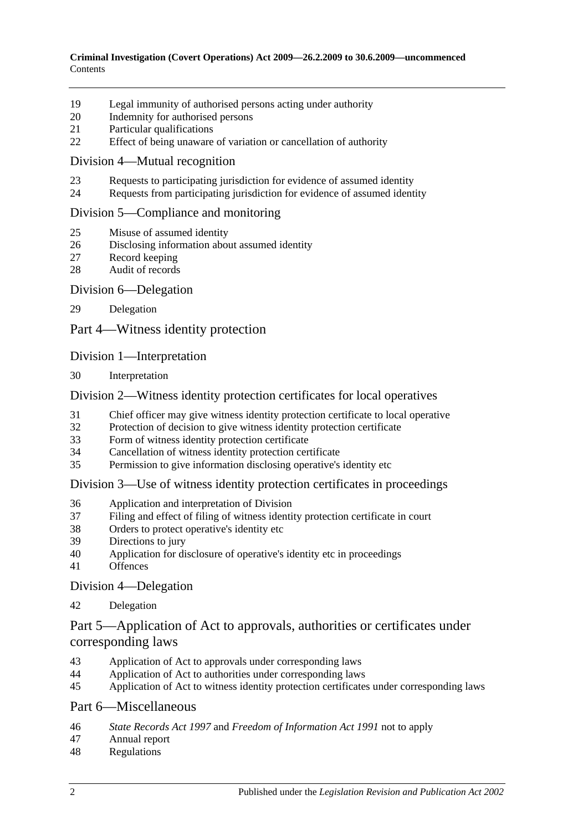- [Legal immunity of authorised persons acting under authority](#page-13-3)
- [Indemnity for authorised persons](#page-13-4)
- [Particular qualifications](#page-14-0)
- [Effect of being unaware of variation or cancellation of authority](#page-14-1)

#### [Division 4—Mutual recognition](#page-14-2)

- [Requests to participating jurisdiction for evidence of assumed identity](#page-14-3)
- [Requests from participating jurisdiction for evidence of assumed identity](#page-15-0)

#### [Division 5—Compliance and monitoring](#page-15-1)

- [Misuse of assumed identity](#page-15-2)
- [Disclosing information about assumed identity](#page-16-0)
- [Record keeping](#page-16-1)
- [Audit of records](#page-17-0)

#### [Division 6—Delegation](#page-17-1)

[Delegation](#page-17-2)

[Part 4—Witness identity protection](#page-18-0)

#### [Division 1—Interpretation](#page-18-1)

[Interpretation](#page-18-2)

#### [Division 2—Witness identity protection certificates for local operatives](#page-18-3)

- [Chief officer may give witness identity protection certificate to local operative](#page-18-4)
- [Protection of decision to give witness identity protection certificate](#page-19-0)
- [Form of witness identity protection certificate](#page-20-0)
- [Cancellation of witness identity protection certificate](#page-20-1)
- [Permission to give information disclosing operative's identity etc](#page-21-0)

#### [Division 3—Use of witness identity protection certificates in proceedings](#page-21-1)

- [Application and interpretation of Division](#page-21-2)
- [Filing and effect of filing of witness identity protection certificate in court](#page-21-3)
- [Orders to protect operative's identity etc](#page-23-0)
- [Directions to jury](#page-23-1)
- [Application for disclosure of operative's identity etc in proceedings](#page-23-2)
- [Offences](#page-24-0)

[Division 4—Delegation](#page-25-0)

[Delegation](#page-25-1)

## [Part 5—Application of Act to approvals, authorities or certificates under](#page-26-0)  [corresponding laws](#page-26-0)

- [Application of Act to approvals under corresponding laws](#page-26-1)
- [Application of Act to authorities under corresponding laws](#page-26-2)<br>45 Application of Act to witness identity protection certificates
- [Application of Act to witness identity protection certificates under corresponding laws](#page-26-3)

#### [Part 6—Miscellaneous](#page-26-4)

- *State Records Act 1997* and *[Freedom of Information Act](#page-26-5) 1991* not to apply
- [Annual report](#page-27-0)
- [Regulations](#page-28-0)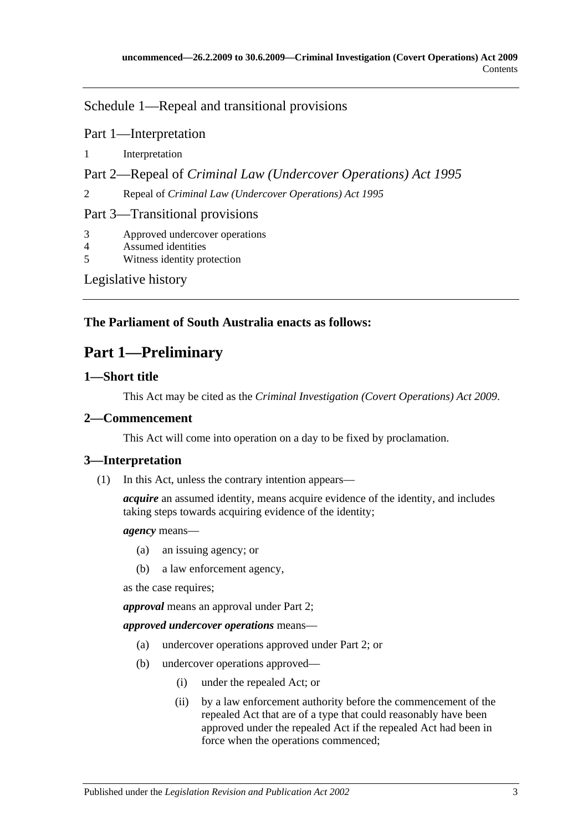[Schedule 1—Repeal and transitional provisions](#page-28-1)

Part 1—Interpretation

1 [Interpretation](#page-28-2)

Part 2—Repeal of *Criminal Law (Undercover Operations) Act 1995*

2 Repeal of *[Criminal Law \(Undercover Operations\) Act](#page-28-3) 1995*

Part 3—Transitional provisions

3 [Approved undercover operations](#page-28-4)

4 [Assumed identities](#page-29-0)

5 [Witness identity protection](#page-29-1)

[Legislative history](#page-30-0)

## <span id="page-2-0"></span>**The Parliament of South Australia enacts as follows:**

## **Part 1—Preliminary**

## <span id="page-2-1"></span>**1—Short title**

This Act may be cited as the *Criminal Investigation (Covert Operations) Act 2009*.

## <span id="page-2-2"></span>**2—Commencement**

This Act will come into operation on a day to be fixed by proclamation.

## <span id="page-2-3"></span>**3—Interpretation**

(1) In this Act, unless the contrary intention appears—

*acquire* an assumed identity, means acquire evidence of the identity, and includes taking steps towards acquiring evidence of the identity;

#### *agency* means—

- (a) an issuing agency; or
- (b) a law enforcement agency,

as the case requires;

*approval* means an approval under [Part 2;](#page-6-0)

*approved undercover operations* means—

- (a) undercover operations approved under [Part 2;](#page-6-0) or
- (b) undercover operations approved—
	- (i) under the repealed Act; or
	- (ii) by a law enforcement authority before the commencement of the repealed Act that are of a type that could reasonably have been approved under the repealed Act if the repealed Act had been in force when the operations commenced;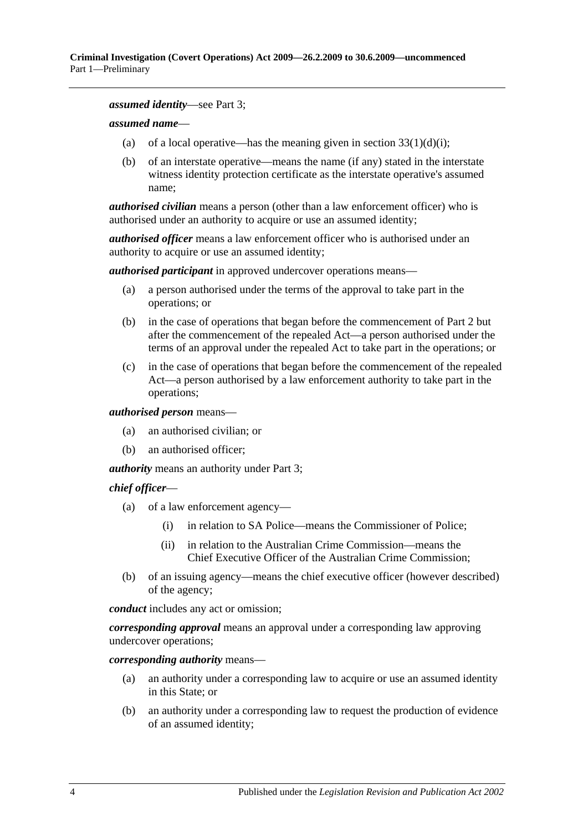#### *assumed identity*—see [Part 3;](#page-8-0)

#### *assumed name*—

- (a) of a local operative—has the meaning given in section  $33(1)(d)(i)$ ;
- (b) of an interstate operative—means the name (if any) stated in the interstate witness identity protection certificate as the interstate operative's assumed name;

*authorised civilian* means a person (other than a law enforcement officer) who is authorised under an authority to acquire or use an assumed identity;

*authorised officer* means a law enforcement officer who is authorised under an authority to acquire or use an assumed identity;

*authorised participant* in approved undercover operations means—

- (a) a person authorised under the terms of the approval to take part in the operations; or
- (b) in the case of operations that began before the commencement of [Part 2](#page-6-0) but after the commencement of the repealed Act—a person authorised under the terms of an approval under the repealed Act to take part in the operations; or
- (c) in the case of operations that began before the commencement of the repealed Act—a person authorised by a law enforcement authority to take part in the operations;

#### *authorised person* means—

- (a) an authorised civilian; or
- (b) an authorised officer;

*authority* means an authority under [Part 3;](#page-8-0)

#### *chief officer*—

- (a) of a law enforcement agency—
	- (i) in relation to SA Police—means the Commissioner of Police;
	- (ii) in relation to the Australian Crime Commission—means the Chief Executive Officer of the Australian Crime Commission;
- (b) of an issuing agency—means the chief executive officer (however described) of the agency;

*conduct* includes any act or omission;

*corresponding approval* means an approval under a corresponding law approving undercover operations;

*corresponding authority* means—

- (a) an authority under a corresponding law to acquire or use an assumed identity in this State; or
- (b) an authority under a corresponding law to request the production of evidence of an assumed identity;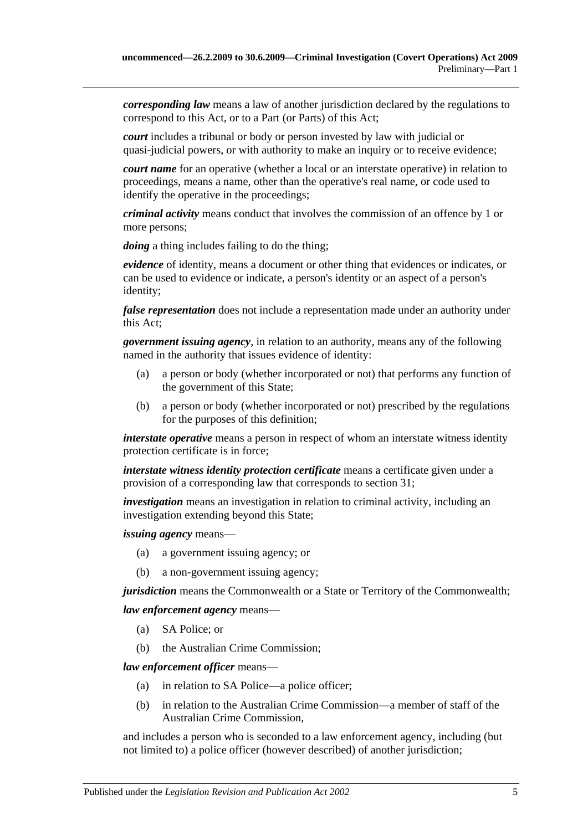*corresponding law* means a law of another jurisdiction declared by the regulations to correspond to this Act, or to a Part (or Parts) of this Act;

*court* includes a tribunal or body or person invested by law with judicial or quasi-judicial powers, or with authority to make an inquiry or to receive evidence;

*court name* for an operative (whether a local or an interstate operative) in relation to proceedings, means a name, other than the operative's real name, or code used to identify the operative in the proceedings;

*criminal activity* means conduct that involves the commission of an offence by 1 or more persons;

*doing* a thing includes failing to do the thing;

*evidence* of identity, means a document or other thing that evidences or indicates, or can be used to evidence or indicate, a person's identity or an aspect of a person's identity;

*false representation* does not include a representation made under an authority under this Act;

*government issuing agency*, in relation to an authority, means any of the following named in the authority that issues evidence of identity:

- (a) a person or body (whether incorporated or not) that performs any function of the government of this State;
- (b) a person or body (whether incorporated or not) prescribed by the regulations for the purposes of this definition;

*interstate operative* means a person in respect of whom an interstate witness identity protection certificate is in force;

*interstate witness identity protection certificate* means a certificate given under a provision of a corresponding law that corresponds to [section](#page-18-4) 31;

*investigation* means an investigation in relation to criminal activity, including an investigation extending beyond this State;

*issuing agency* means—

- (a) a government issuing agency; or
- (b) a non-government issuing agency;

*jurisdiction* means the Commonwealth or a State or Territory of the Commonwealth;

*law enforcement agency* means—

- (a) SA Police; or
- (b) the Australian Crime Commission;

*law enforcement officer* means—

- (a) in relation to SA Police—a police officer;
- (b) in relation to the Australian Crime Commission—a member of staff of the Australian Crime Commission,

and includes a person who is seconded to a law enforcement agency, including (but not limited to) a police officer (however described) of another jurisdiction;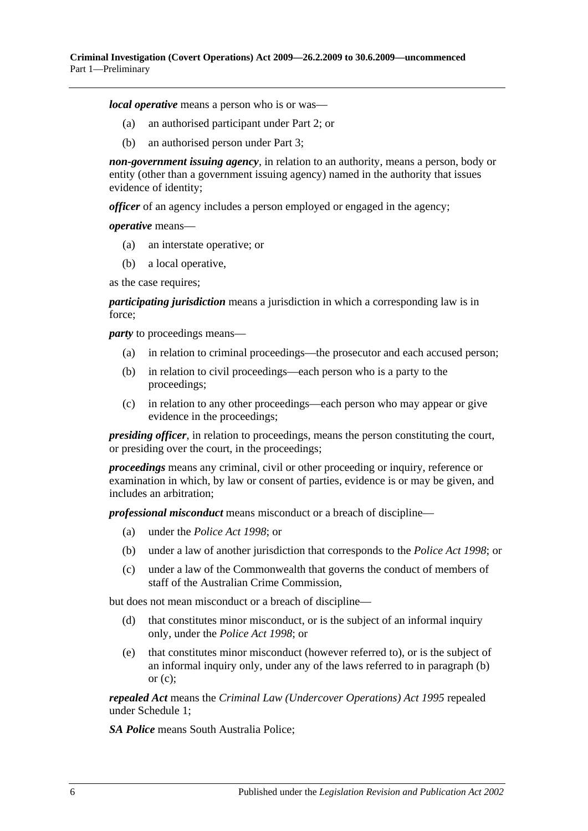*local operative* means a person who is or was—

- (a) an authorised participant under [Part 2;](#page-6-0) or
- (b) an authorised person under [Part 3;](#page-8-0)

*non-government issuing agency*, in relation to an authority, means a person, body or entity (other than a government issuing agency) named in the authority that issues evidence of identity;

*officer* of an agency includes a person employed or engaged in the agency;

*operative* means—

- (a) an interstate operative; or
- (b) a local operative,

as the case requires;

*participating jurisdiction* means a jurisdiction in which a corresponding law is in force;

<span id="page-5-0"></span>*party* to proceedings means—

- (a) in relation to criminal proceedings—the prosecutor and each accused person;
- (b) in relation to civil proceedings—each person who is a party to the proceedings;
- <span id="page-5-1"></span>(c) in relation to any other proceedings—each person who may appear or give evidence in the proceedings;

*presiding officer*, in relation to proceedings, means the person constituting the court, or presiding over the court, in the proceedings;

*proceedings* means any criminal, civil or other proceeding or inquiry, reference or examination in which, by law or consent of parties, evidence is or may be given, and includes an arbitration;

*professional misconduct* means misconduct or a breach of discipline—

- (a) under the *[Police Act](http://www.legislation.sa.gov.au/index.aspx?action=legref&type=act&legtitle=Police%20Act%201998) 1998*; or
- (b) under a law of another jurisdiction that corresponds to the *[Police Act](http://www.legislation.sa.gov.au/index.aspx?action=legref&type=act&legtitle=Police%20Act%201998) 1998*; or
- (c) under a law of the Commonwealth that governs the conduct of members of staff of the Australian Crime Commission,

but does not mean misconduct or a breach of discipline—

- (d) that constitutes minor misconduct, or is the subject of an informal inquiry only, under the *[Police Act](http://www.legislation.sa.gov.au/index.aspx?action=legref&type=act&legtitle=Police%20Act%201998) 1998*; or
- (e) that constitutes minor misconduct (however referred to), or is the subject of an informal inquiry only, under any of the laws referred to in [paragraph](#page-5-0) (b) or  $(c)$ :

*repealed Act* means the *[Criminal Law \(Undercover Operations\) Act](http://www.legislation.sa.gov.au/index.aspx?action=legref&type=act&legtitle=Criminal%20Law%20(Undercover%20Operations)%20Act%201995) 1995* repealed under [Schedule 1;](#page-28-1)

*SA Police* means South Australia Police;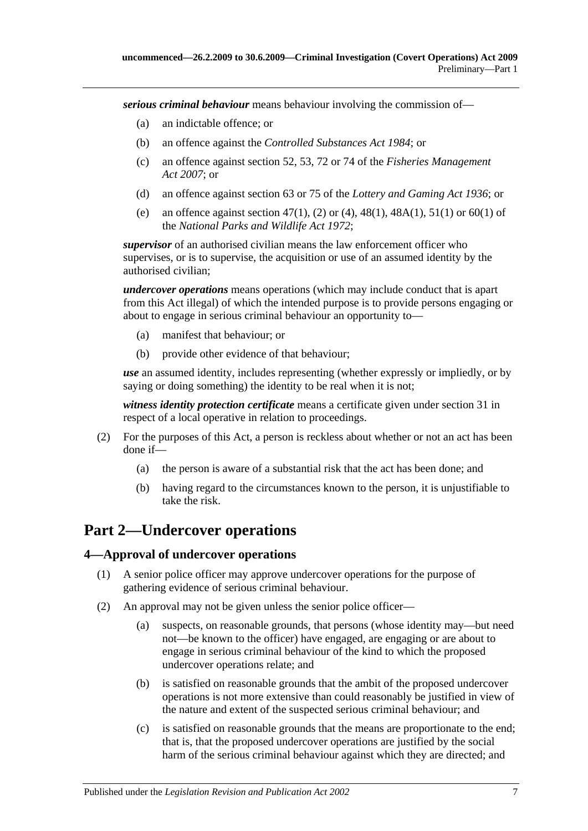*serious criminal behaviour* means behaviour involving the commission of—

- (a) an indictable offence; or
- (b) an offence against the *[Controlled Substances Act](http://www.legislation.sa.gov.au/index.aspx?action=legref&type=act&legtitle=Controlled%20Substances%20Act%201984) 1984*; or
- (c) an offence against section 52, 53, 72 or 74 of the *[Fisheries Management](http://www.legislation.sa.gov.au/index.aspx?action=legref&type=act&legtitle=Fisheries%20Management%20Act%202007)  Act [2007](http://www.legislation.sa.gov.au/index.aspx?action=legref&type=act&legtitle=Fisheries%20Management%20Act%202007)*; or
- (d) an offence against section 63 or 75 of the *[Lottery and Gaming Act](http://www.legislation.sa.gov.au/index.aspx?action=legref&type=act&legtitle=Lottery%20and%20Gaming%20Act%201936) 1936*; or
- (e) an offence against section 47(1), (2) or (4), 48(1), 48A(1), 51(1) or 60(1) of the *[National Parks and Wildlife Act](http://www.legislation.sa.gov.au/index.aspx?action=legref&type=act&legtitle=National%20Parks%20and%20Wildlife%20Act%201972) 1972*;

*supervisor* of an authorised civilian means the law enforcement officer who supervises, or is to supervise, the acquisition or use of an assumed identity by the authorised civilian;

*undercover operations* means operations (which may include conduct that is apart from this Act illegal) of which the intended purpose is to provide persons engaging or about to engage in serious criminal behaviour an opportunity to—

- (a) manifest that behaviour; or
- (b) provide other evidence of that behaviour;

*use* an assumed identity, includes representing (whether expressly or impliedly, or by saying or doing something) the identity to be real when it is not;

*witness identity protection certificate* means a certificate given under [section](#page-18-4) 31 in respect of a local operative in relation to proceedings.

- (2) For the purposes of this Act, a person is reckless about whether or not an act has been done if—
	- (a) the person is aware of a substantial risk that the act has been done; and
	- (b) having regard to the circumstances known to the person, it is unjustifiable to take the risk.

## <span id="page-6-0"></span>**Part 2—Undercover operations**

#### <span id="page-6-1"></span>**4—Approval of undercover operations**

- (1) A senior police officer may approve undercover operations for the purpose of gathering evidence of serious criminal behaviour.
- (2) An approval may not be given unless the senior police officer—
	- (a) suspects, on reasonable grounds, that persons (whose identity may—but need not—be known to the officer) have engaged, are engaging or are about to engage in serious criminal behaviour of the kind to which the proposed undercover operations relate; and
	- (b) is satisfied on reasonable grounds that the ambit of the proposed undercover operations is not more extensive than could reasonably be justified in view of the nature and extent of the suspected serious criminal behaviour; and
	- (c) is satisfied on reasonable grounds that the means are proportionate to the end; that is, that the proposed undercover operations are justified by the social harm of the serious criminal behaviour against which they are directed; and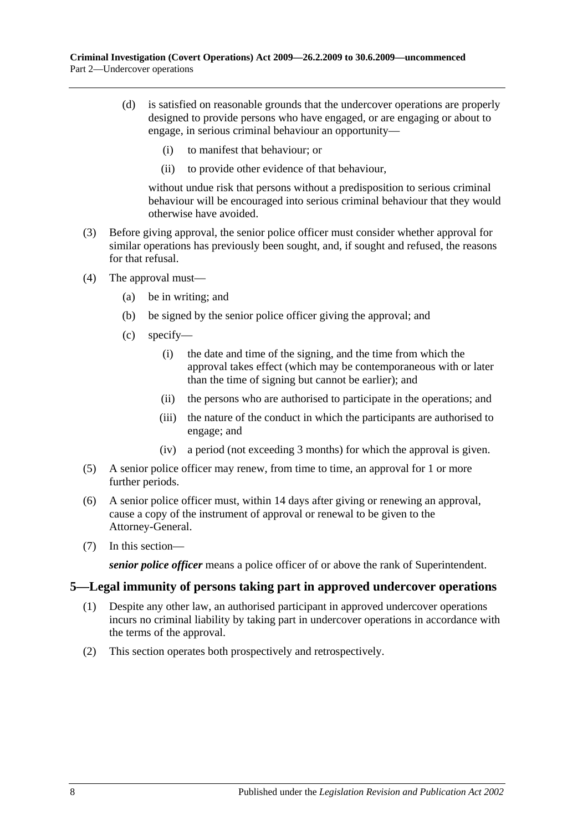- (d) is satisfied on reasonable grounds that the undercover operations are properly designed to provide persons who have engaged, or are engaging or about to engage, in serious criminal behaviour an opportunity—
	- (i) to manifest that behaviour; or
	- (ii) to provide other evidence of that behaviour,

without undue risk that persons without a predisposition to serious criminal behaviour will be encouraged into serious criminal behaviour that they would otherwise have avoided.

- (3) Before giving approval, the senior police officer must consider whether approval for similar operations has previously been sought, and, if sought and refused, the reasons for that refusal.
- (4) The approval must—
	- (a) be in writing; and
	- (b) be signed by the senior police officer giving the approval; and
	- (c) specify—
		- (i) the date and time of the signing, and the time from which the approval takes effect (which may be contemporaneous with or later than the time of signing but cannot be earlier); and
		- (ii) the persons who are authorised to participate in the operations; and
		- (iii) the nature of the conduct in which the participants are authorised to engage; and
		- (iv) a period (not exceeding 3 months) for which the approval is given.
- (5) A senior police officer may renew, from time to time, an approval for 1 or more further periods.
- (6) A senior police officer must, within 14 days after giving or renewing an approval, cause a copy of the instrument of approval or renewal to be given to the Attorney-General.
- (7) In this section—

*senior police officer* means a police officer of or above the rank of Superintendent.

#### <span id="page-7-0"></span>**5—Legal immunity of persons taking part in approved undercover operations**

- (1) Despite any other law, an authorised participant in approved undercover operations incurs no criminal liability by taking part in undercover operations in accordance with the terms of the approval.
- (2) This section operates both prospectively and retrospectively.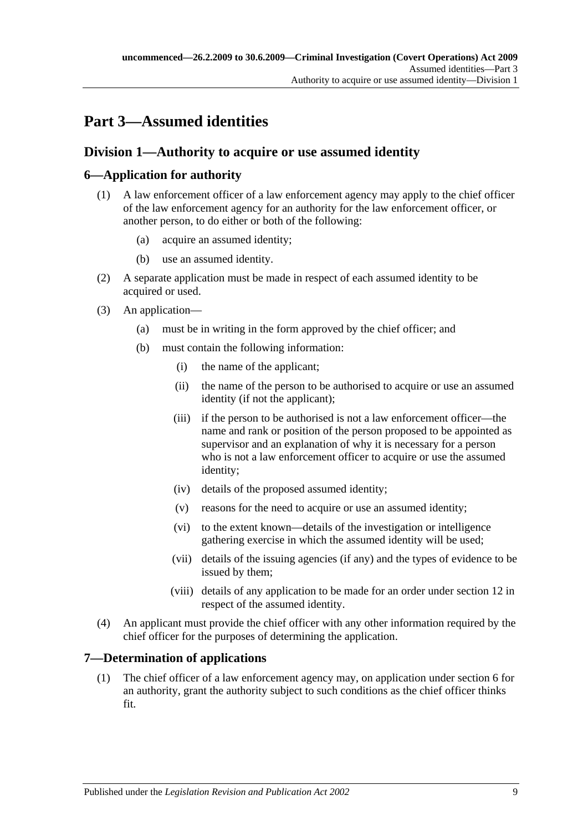# <span id="page-8-0"></span>**Part 3—Assumed identities**

## <span id="page-8-1"></span>**Division 1—Authority to acquire or use assumed identity**

## <span id="page-8-2"></span>**6—Application for authority**

- (1) A law enforcement officer of a law enforcement agency may apply to the chief officer of the law enforcement agency for an authority for the law enforcement officer, or another person, to do either or both of the following:
	- (a) acquire an assumed identity;
	- (b) use an assumed identity.
- (2) A separate application must be made in respect of each assumed identity to be acquired or used.
- (3) An application—
	- (a) must be in writing in the form approved by the chief officer; and
	- (b) must contain the following information:
		- (i) the name of the applicant;
		- (ii) the name of the person to be authorised to acquire or use an assumed identity (if not the applicant);
		- (iii) if the person to be authorised is not a law enforcement officer—the name and rank or position of the person proposed to be appointed as supervisor and an explanation of why it is necessary for a person who is not a law enforcement officer to acquire or use the assumed identity;
		- (iv) details of the proposed assumed identity;
		- (v) reasons for the need to acquire or use an assumed identity;
		- (vi) to the extent known—details of the investigation or intelligence gathering exercise in which the assumed identity will be used;
		- (vii) details of the issuing agencies (if any) and the types of evidence to be issued by them;
		- (viii) details of any application to be made for an order under [section](#page-11-0) 12 in respect of the assumed identity.
- (4) An applicant must provide the chief officer with any other information required by the chief officer for the purposes of determining the application.

## <span id="page-8-3"></span>**7—Determination of applications**

(1) The chief officer of a law enforcement agency may, on application under [section](#page-8-2) 6 for an authority, grant the authority subject to such conditions as the chief officer thinks fit.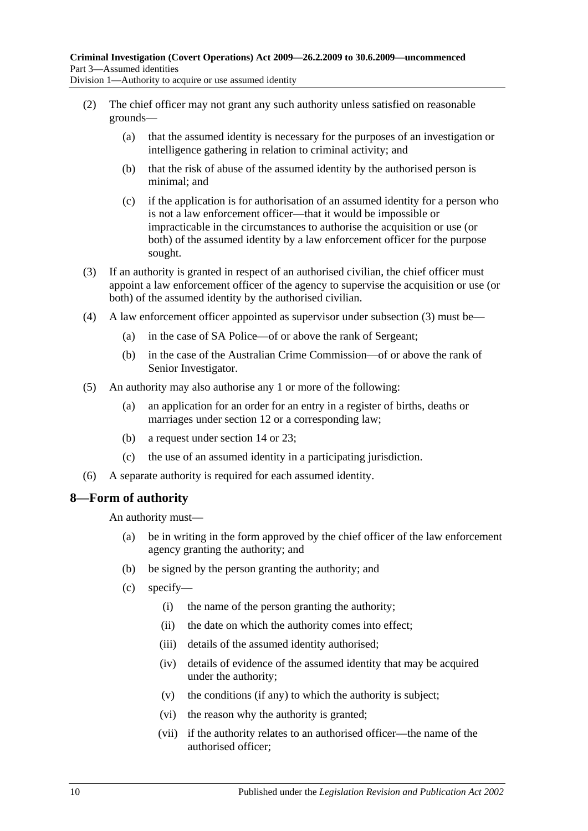Division 1—Authority to acquire or use assumed identity

- (2) The chief officer may not grant any such authority unless satisfied on reasonable grounds—
	- (a) that the assumed identity is necessary for the purposes of an investigation or intelligence gathering in relation to criminal activity; and
	- (b) that the risk of abuse of the assumed identity by the authorised person is minimal; and
	- (c) if the application is for authorisation of an assumed identity for a person who is not a law enforcement officer—that it would be impossible or impracticable in the circumstances to authorise the acquisition or use (or both) of the assumed identity by a law enforcement officer for the purpose sought.
- <span id="page-9-1"></span>(3) If an authority is granted in respect of an authorised civilian, the chief officer must appoint a law enforcement officer of the agency to supervise the acquisition or use (or both) of the assumed identity by the authorised civilian.
- (4) A law enforcement officer appointed as supervisor under [subsection](#page-9-1) (3) must be—
	- (a) in the case of SA Police—of or above the rank of Sergeant;
	- (b) in the case of the Australian Crime Commission—of or above the rank of Senior Investigator.
- (5) An authority may also authorise any 1 or more of the following:
	- (a) an application for an order for an entry in a register of births, deaths or marriages under [section](#page-11-0) 12 or a corresponding law;
	- (b) a request under [section](#page-12-1) 14 or [23;](#page-14-3)
	- (c) the use of an assumed identity in a participating jurisdiction.
- (6) A separate authority is required for each assumed identity.

## <span id="page-9-0"></span>**8—Form of authority**

An authority must—

- (a) be in writing in the form approved by the chief officer of the law enforcement agency granting the authority; and
- (b) be signed by the person granting the authority; and
- (c) specify—
	- (i) the name of the person granting the authority;
	- (ii) the date on which the authority comes into effect;
	- (iii) details of the assumed identity authorised;
	- (iv) details of evidence of the assumed identity that may be acquired under the authority;
	- (v) the conditions (if any) to which the authority is subject;
	- (vi) the reason why the authority is granted;
	- (vii) if the authority relates to an authorised officer—the name of the authorised officer;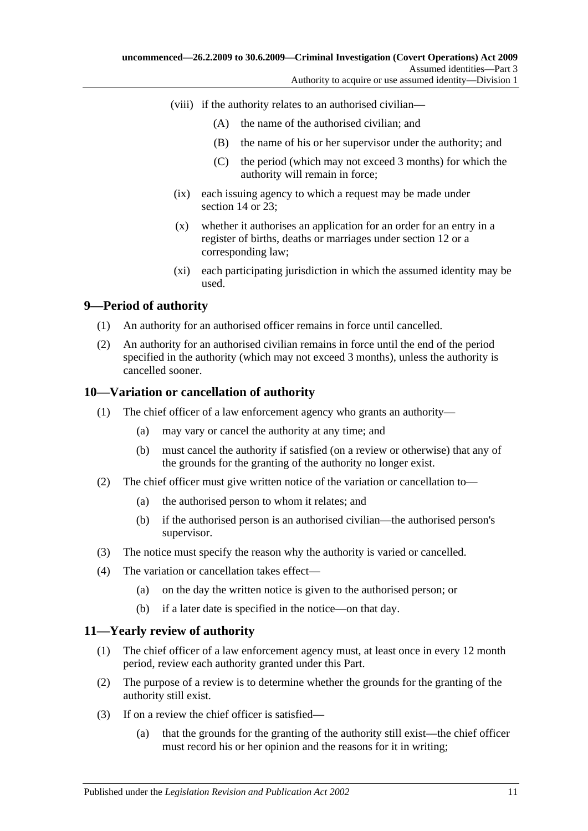- (viii) if the authority relates to an authorised civilian—
	- (A) the name of the authorised civilian; and
	- (B) the name of his or her supervisor under the authority; and
	- (C) the period (which may not exceed 3 months) for which the authority will remain in force;
- (ix) each issuing agency to which a request may be made under [section](#page-12-1) 14 or [23;](#page-14-3)
- (x) whether it authorises an application for an order for an entry in a register of births, deaths or marriages under [section](#page-11-0) 12 or a corresponding law;
- (xi) each participating jurisdiction in which the assumed identity may be used.

## <span id="page-10-0"></span>**9—Period of authority**

- (1) An authority for an authorised officer remains in force until cancelled.
- (2) An authority for an authorised civilian remains in force until the end of the period specified in the authority (which may not exceed 3 months), unless the authority is cancelled sooner.

#### <span id="page-10-1"></span>**10—Variation or cancellation of authority**

- (1) The chief officer of a law enforcement agency who grants an authority—
	- (a) may vary or cancel the authority at any time; and
	- (b) must cancel the authority if satisfied (on a review or otherwise) that any of the grounds for the granting of the authority no longer exist.
- (2) The chief officer must give written notice of the variation or cancellation to—
	- (a) the authorised person to whom it relates; and
	- (b) if the authorised person is an authorised civilian—the authorised person's supervisor.
- (3) The notice must specify the reason why the authority is varied or cancelled.
- (4) The variation or cancellation takes effect—
	- (a) on the day the written notice is given to the authorised person; or
	- (b) if a later date is specified in the notice—on that day.

#### <span id="page-10-2"></span>**11—Yearly review of authority**

- (1) The chief officer of a law enforcement agency must, at least once in every 12 month period, review each authority granted under this Part.
- (2) The purpose of a review is to determine whether the grounds for the granting of the authority still exist.
- (3) If on a review the chief officer is satisfied—
	- (a) that the grounds for the granting of the authority still exist—the chief officer must record his or her opinion and the reasons for it in writing;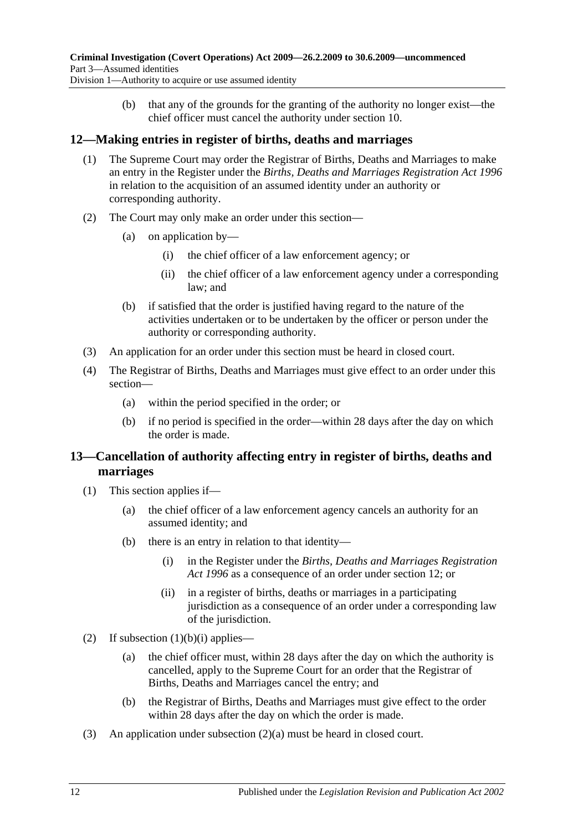(b) that any of the grounds for the granting of the authority no longer exist—the chief officer must cancel the authority under [section](#page-10-1) 10.

## <span id="page-11-0"></span>**12—Making entries in register of births, deaths and marriages**

- (1) The Supreme Court may order the Registrar of Births, Deaths and Marriages to make an entry in the Register under the *[Births, Deaths and Marriages Registration Act](http://www.legislation.sa.gov.au/index.aspx?action=legref&type=act&legtitle=Births%20Deaths%20and%20Marriages%20Registration%20Act%201996) 1996* in relation to the acquisition of an assumed identity under an authority or corresponding authority.
- (2) The Court may only make an order under this section—
	- (a) on application by—
		- (i) the chief officer of a law enforcement agency; or
		- (ii) the chief officer of a law enforcement agency under a corresponding law; and
	- (b) if satisfied that the order is justified having regard to the nature of the activities undertaken or to be undertaken by the officer or person under the authority or corresponding authority.
- (3) An application for an order under this section must be heard in closed court.
- (4) The Registrar of Births, Deaths and Marriages must give effect to an order under this section—
	- (a) within the period specified in the order; or
	- (b) if no period is specified in the order—within 28 days after the day on which the order is made.

## <span id="page-11-1"></span>**13—Cancellation of authority affecting entry in register of births, deaths and marriages**

- <span id="page-11-2"></span>(1) This section applies if—
	- (a) the chief officer of a law enforcement agency cancels an authority for an assumed identity; and
	- (b) there is an entry in relation to that identity—
		- (i) in the Register under the *[Births, Deaths and Marriages Registration](http://www.legislation.sa.gov.au/index.aspx?action=legref&type=act&legtitle=Births%20Deaths%20and%20Marriages%20Registration%20Act%201996)  Act [1996](http://www.legislation.sa.gov.au/index.aspx?action=legref&type=act&legtitle=Births%20Deaths%20and%20Marriages%20Registration%20Act%201996)* as a consequence of an order under [section](#page-11-0) 12; or
		- (ii) in a register of births, deaths or marriages in a participating jurisdiction as a consequence of an order under a corresponding law of the jurisdiction.
- <span id="page-11-4"></span><span id="page-11-3"></span>(2) If [subsection](#page-11-2)  $(1)(b)(i)$  applies—
	- (a) the chief officer must, within 28 days after the day on which the authority is cancelled, apply to the Supreme Court for an order that the Registrar of Births, Deaths and Marriages cancel the entry; and
	- (b) the Registrar of Births, Deaths and Marriages must give effect to the order within 28 days after the day on which the order is made.
- (3) An application under [subsection](#page-11-3) (2)(a) must be heard in closed court.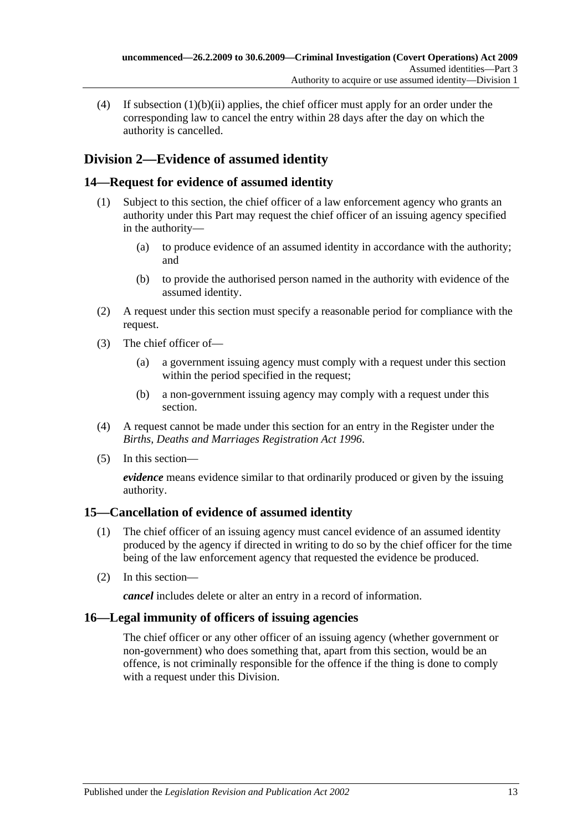(4) If [subsection](#page-11-4) (1)(b)(ii) applies, the chief officer must apply for an order under the corresponding law to cancel the entry within 28 days after the day on which the authority is cancelled.

## <span id="page-12-0"></span>**Division 2—Evidence of assumed identity**

## <span id="page-12-1"></span>**14—Request for evidence of assumed identity**

- (1) Subject to this section, the chief officer of a law enforcement agency who grants an authority under this Part may request the chief officer of an issuing agency specified in the authority—
	- (a) to produce evidence of an assumed identity in accordance with the authority; and
	- (b) to provide the authorised person named in the authority with evidence of the assumed identity.
- (2) A request under this section must specify a reasonable period for compliance with the request.
- (3) The chief officer of—
	- (a) a government issuing agency must comply with a request under this section within the period specified in the request;
	- (b) a non-government issuing agency may comply with a request under this section.
- (4) A request cannot be made under this section for an entry in the Register under the *[Births, Deaths and Marriages Registration Act](http://www.legislation.sa.gov.au/index.aspx?action=legref&type=act&legtitle=Births%20Deaths%20and%20Marriages%20Registration%20Act%201996) 1996*.
- (5) In this section—

*evidence* means evidence similar to that ordinarily produced or given by the issuing authority.

## <span id="page-12-2"></span>**15—Cancellation of evidence of assumed identity**

- (1) The chief officer of an issuing agency must cancel evidence of an assumed identity produced by the agency if directed in writing to do so by the chief officer for the time being of the law enforcement agency that requested the evidence be produced.
- (2) In this section—

*cancel* includes delete or alter an entry in a record of information.

## <span id="page-12-3"></span>**16—Legal immunity of officers of issuing agencies**

The chief officer or any other officer of an issuing agency (whether government or non-government) who does something that, apart from this section, would be an offence, is not criminally responsible for the offence if the thing is done to comply with a request under this Division.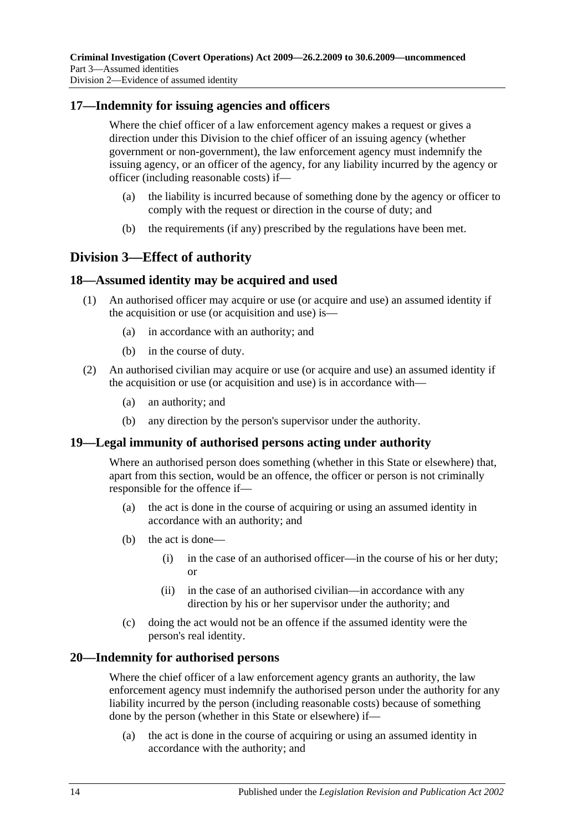#### <span id="page-13-0"></span>**17—Indemnity for issuing agencies and officers**

Where the chief officer of a law enforcement agency makes a request or gives a direction under this Division to the chief officer of an issuing agency (whether government or non-government), the law enforcement agency must indemnify the issuing agency, or an officer of the agency, for any liability incurred by the agency or officer (including reasonable costs) if—

- (a) the liability is incurred because of something done by the agency or officer to comply with the request or direction in the course of duty; and
- (b) the requirements (if any) prescribed by the regulations have been met.

## <span id="page-13-1"></span>**Division 3—Effect of authority**

#### <span id="page-13-2"></span>**18—Assumed identity may be acquired and used**

- (1) An authorised officer may acquire or use (or acquire and use) an assumed identity if the acquisition or use (or acquisition and use) is—
	- (a) in accordance with an authority; and
	- (b) in the course of duty.
- (2) An authorised civilian may acquire or use (or acquire and use) an assumed identity if the acquisition or use (or acquisition and use) is in accordance with—
	- (a) an authority; and
	- (b) any direction by the person's supervisor under the authority.

#### <span id="page-13-3"></span>**19—Legal immunity of authorised persons acting under authority**

Where an authorised person does something (whether in this State or elsewhere) that, apart from this section, would be an offence, the officer or person is not criminally responsible for the offence if—

- (a) the act is done in the course of acquiring or using an assumed identity in accordance with an authority; and
- (b) the act is done—
	- (i) in the case of an authorised officer—in the course of his or her duty; or
	- (ii) in the case of an authorised civilian—in accordance with any direction by his or her supervisor under the authority; and
- (c) doing the act would not be an offence if the assumed identity were the person's real identity.

#### <span id="page-13-4"></span>**20—Indemnity for authorised persons**

Where the chief officer of a law enforcement agency grants an authority, the law enforcement agency must indemnify the authorised person under the authority for any liability incurred by the person (including reasonable costs) because of something done by the person (whether in this State or elsewhere) if—

(a) the act is done in the course of acquiring or using an assumed identity in accordance with the authority; and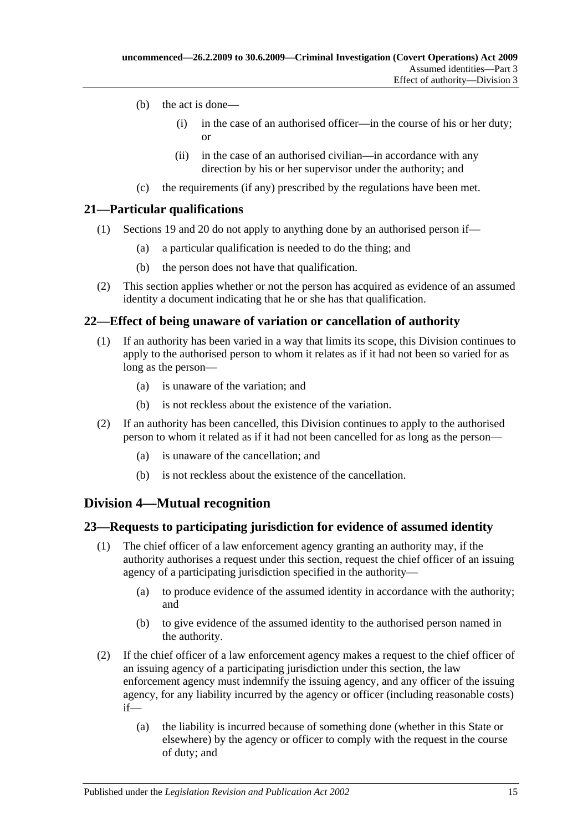- (b) the act is done—
	- (i) in the case of an authorised officer—in the course of his or her duty; or
	- (ii) in the case of an authorised civilian—in accordance with any direction by his or her supervisor under the authority; and
- (c) the requirements (if any) prescribed by the regulations have been met.

## <span id="page-14-0"></span>**21—Particular qualifications**

- (1) [Sections 19](#page-13-3) and [20](#page-13-4) do not apply to anything done by an authorised person if—
	- (a) a particular qualification is needed to do the thing; and
	- (b) the person does not have that qualification.
- (2) This section applies whether or not the person has acquired as evidence of an assumed identity a document indicating that he or she has that qualification.

## <span id="page-14-1"></span>**22—Effect of being unaware of variation or cancellation of authority**

- (1) If an authority has been varied in a way that limits its scope, this Division continues to apply to the authorised person to whom it relates as if it had not been so varied for as long as the person—
	- (a) is unaware of the variation; and
	- (b) is not reckless about the existence of the variation.
- (2) If an authority has been cancelled, this Division continues to apply to the authorised person to whom it related as if it had not been cancelled for as long as the person—
	- (a) is unaware of the cancellation; and
	- (b) is not reckless about the existence of the cancellation.

## <span id="page-14-2"></span>**Division 4—Mutual recognition**

## <span id="page-14-3"></span>**23—Requests to participating jurisdiction for evidence of assumed identity**

- (1) The chief officer of a law enforcement agency granting an authority may, if the authority authorises a request under this section, request the chief officer of an issuing agency of a participating jurisdiction specified in the authority—
	- (a) to produce evidence of the assumed identity in accordance with the authority; and
	- (b) to give evidence of the assumed identity to the authorised person named in the authority.
- (2) If the chief officer of a law enforcement agency makes a request to the chief officer of an issuing agency of a participating jurisdiction under this section, the law enforcement agency must indemnify the issuing agency, and any officer of the issuing agency, for any liability incurred by the agency or officer (including reasonable costs) if—
	- (a) the liability is incurred because of something done (whether in this State or elsewhere) by the agency or officer to comply with the request in the course of duty; and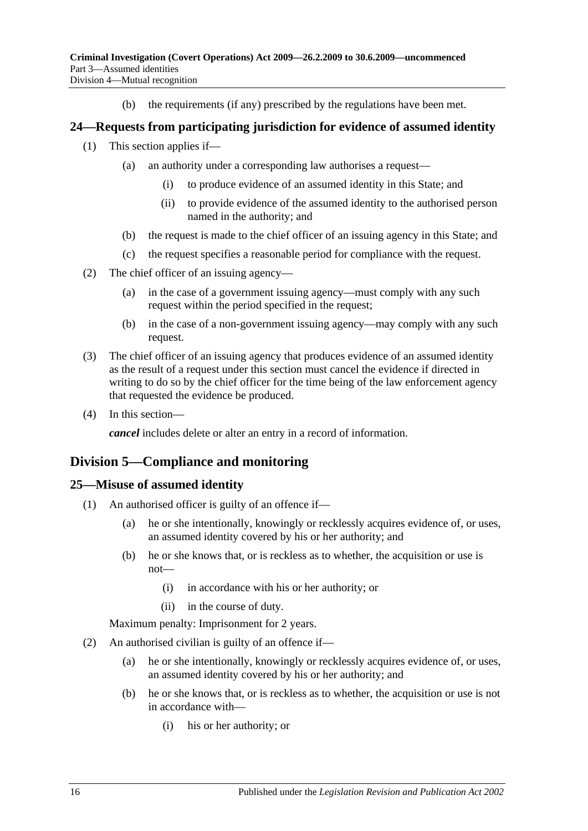(b) the requirements (if any) prescribed by the regulations have been met.

## <span id="page-15-0"></span>**24—Requests from participating jurisdiction for evidence of assumed identity**

- (1) This section applies if—
	- (a) an authority under a corresponding law authorises a request—
		- (i) to produce evidence of an assumed identity in this State; and
		- (ii) to provide evidence of the assumed identity to the authorised person named in the authority; and
	- (b) the request is made to the chief officer of an issuing agency in this State; and
	- (c) the request specifies a reasonable period for compliance with the request.
- (2) The chief officer of an issuing agency—
	- (a) in the case of a government issuing agency—must comply with any such request within the period specified in the request;
	- (b) in the case of a non-government issuing agency—may comply with any such request.
- (3) The chief officer of an issuing agency that produces evidence of an assumed identity as the result of a request under this section must cancel the evidence if directed in writing to do so by the chief officer for the time being of the law enforcement agency that requested the evidence be produced.
- (4) In this section—

*cancel* includes delete or alter an entry in a record of information.

## <span id="page-15-1"></span>**Division 5—Compliance and monitoring**

#### <span id="page-15-2"></span>**25—Misuse of assumed identity**

- (1) An authorised officer is guilty of an offence if—
	- (a) he or she intentionally, knowingly or recklessly acquires evidence of, or uses, an assumed identity covered by his or her authority; and
	- (b) he or she knows that, or is reckless as to whether, the acquisition or use is not—
		- (i) in accordance with his or her authority; or
		- (ii) in the course of duty.

Maximum penalty: Imprisonment for 2 years.

- (2) An authorised civilian is guilty of an offence if—
	- (a) he or she intentionally, knowingly or recklessly acquires evidence of, or uses, an assumed identity covered by his or her authority; and
	- (b) he or she knows that, or is reckless as to whether, the acquisition or use is not in accordance with—
		- (i) his or her authority; or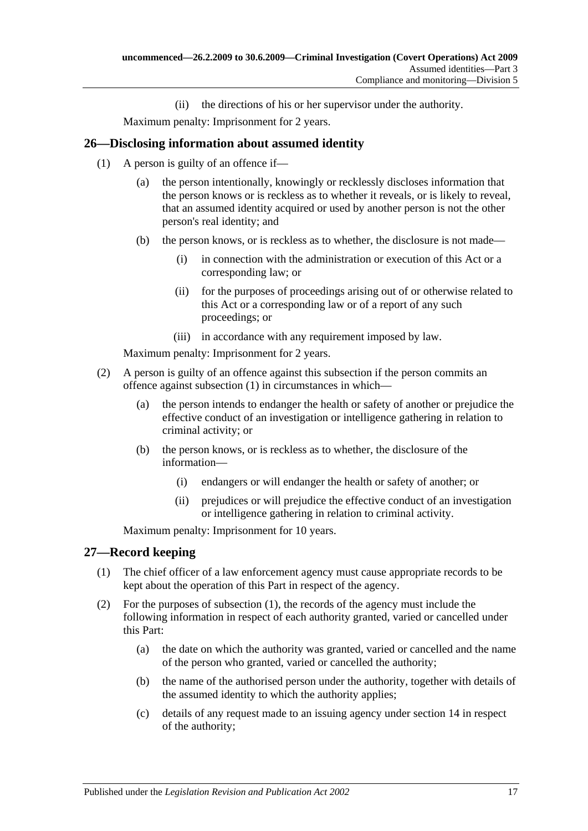(ii) the directions of his or her supervisor under the authority.

Maximum penalty: Imprisonment for 2 years.

## <span id="page-16-2"></span><span id="page-16-0"></span>**26—Disclosing information about assumed identity**

- (1) A person is guilty of an offence if—
	- (a) the person intentionally, knowingly or recklessly discloses information that the person knows or is reckless as to whether it reveals, or is likely to reveal, that an assumed identity acquired or used by another person is not the other person's real identity; and
	- (b) the person knows, or is reckless as to whether, the disclosure is not made—
		- (i) in connection with the administration or execution of this Act or a corresponding law; or
		- (ii) for the purposes of proceedings arising out of or otherwise related to this Act or a corresponding law or of a report of any such proceedings; or
		- (iii) in accordance with any requirement imposed by law.

Maximum penalty: Imprisonment for 2 years.

- (2) A person is guilty of an offence against this subsection if the person commits an offence against [subsection](#page-16-2) (1) in circumstances in which—
	- (a) the person intends to endanger the health or safety of another or prejudice the effective conduct of an investigation or intelligence gathering in relation to criminal activity; or
	- (b) the person knows, or is reckless as to whether, the disclosure of the information—
		- (i) endangers or will endanger the health or safety of another; or
		- (ii) prejudices or will prejudice the effective conduct of an investigation or intelligence gathering in relation to criminal activity.

Maximum penalty: Imprisonment for 10 years.

#### <span id="page-16-3"></span><span id="page-16-1"></span>**27—Record keeping**

- (1) The chief officer of a law enforcement agency must cause appropriate records to be kept about the operation of this Part in respect of the agency.
- (2) For the purposes of [subsection](#page-16-3) (1), the records of the agency must include the following information in respect of each authority granted, varied or cancelled under this Part:
	- (a) the date on which the authority was granted, varied or cancelled and the name of the person who granted, varied or cancelled the authority;
	- (b) the name of the authorised person under the authority, together with details of the assumed identity to which the authority applies;
	- (c) details of any request made to an issuing agency under [section](#page-12-1) 14 in respect of the authority;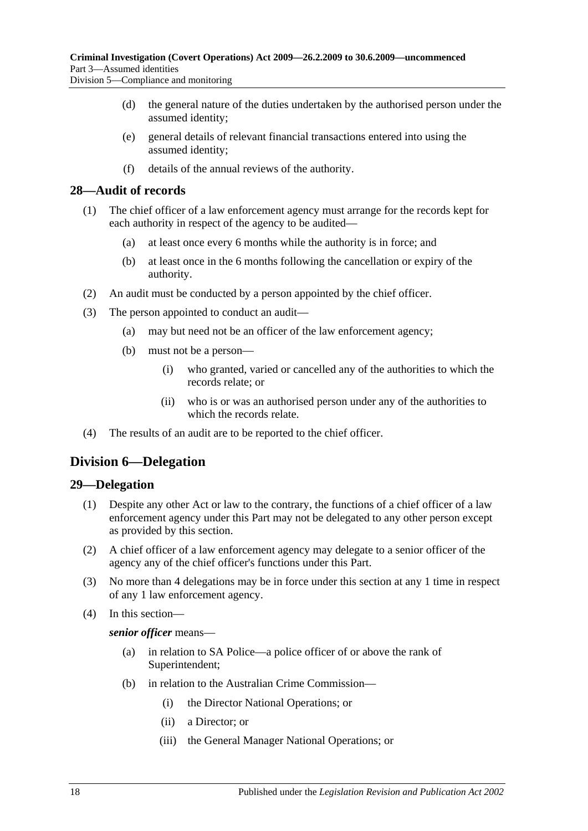(d) the general nature of the duties undertaken by the authorised person under the assumed identity;

- (e) general details of relevant financial transactions entered into using the assumed identity;
- (f) details of the annual reviews of the authority.

#### <span id="page-17-0"></span>**28—Audit of records**

- (1) The chief officer of a law enforcement agency must arrange for the records kept for each authority in respect of the agency to be audited—
	- (a) at least once every 6 months while the authority is in force; and
	- (b) at least once in the 6 months following the cancellation or expiry of the authority.
- (2) An audit must be conducted by a person appointed by the chief officer.
- (3) The person appointed to conduct an audit—
	- (a) may but need not be an officer of the law enforcement agency;
	- (b) must not be a person—
		- (i) who granted, varied or cancelled any of the authorities to which the records relate; or
		- (ii) who is or was an authorised person under any of the authorities to which the records relate.
- (4) The results of an audit are to be reported to the chief officer.

## <span id="page-17-1"></span>**Division 6—Delegation**

#### <span id="page-17-2"></span>**29—Delegation**

- (1) Despite any other Act or law to the contrary, the functions of a chief officer of a law enforcement agency under this Part may not be delegated to any other person except as provided by this section.
- (2) A chief officer of a law enforcement agency may delegate to a senior officer of the agency any of the chief officer's functions under this Part.
- (3) No more than 4 delegations may be in force under this section at any 1 time in respect of any 1 law enforcement agency.
- (4) In this section—

#### *senior officer* means—

- (a) in relation to SA Police—a police officer of or above the rank of Superintendent;
- (b) in relation to the Australian Crime Commission—
	- (i) the Director National Operations; or
	- (ii) a Director; or
	- (iii) the General Manager National Operations; or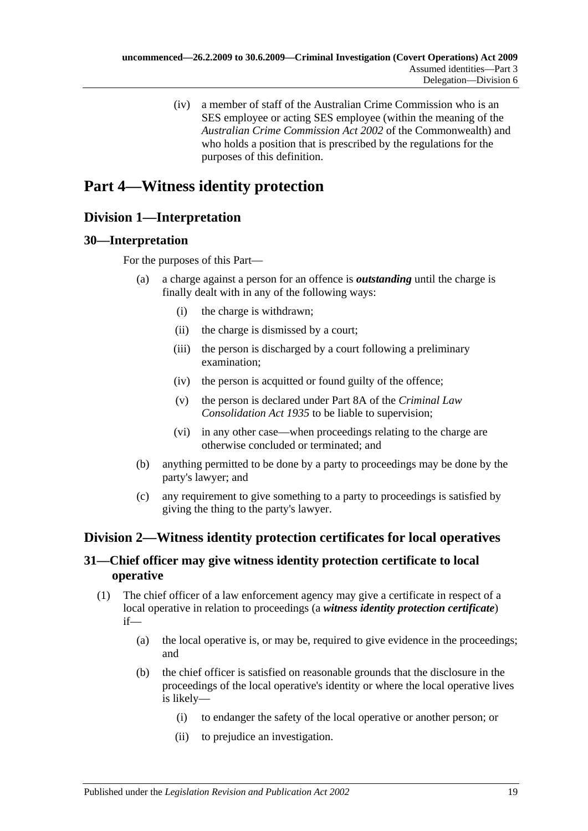(iv) a member of staff of the Australian Crime Commission who is an SES employee or acting SES employee (within the meaning of the *Australian Crime Commission Act 2002* of the Commonwealth) and who holds a position that is prescribed by the regulations for the purposes of this definition.

## <span id="page-18-0"></span>**Part 4—Witness identity protection**

## <span id="page-18-1"></span>**Division 1—Interpretation**

## <span id="page-18-2"></span>**30—Interpretation**

For the purposes of this Part—

- (a) a charge against a person for an offence is *outstanding* until the charge is finally dealt with in any of the following ways:
	- (i) the charge is withdrawn;
	- (ii) the charge is dismissed by a court;
	- (iii) the person is discharged by a court following a preliminary examination;
	- (iv) the person is acquitted or found guilty of the offence;
	- (v) the person is declared under Part 8A of the *[Criminal Law](http://www.legislation.sa.gov.au/index.aspx?action=legref&type=act&legtitle=Criminal%20Law%20Consolidation%20Act%201935)  [Consolidation Act](http://www.legislation.sa.gov.au/index.aspx?action=legref&type=act&legtitle=Criminal%20Law%20Consolidation%20Act%201935) 1935* to be liable to supervision;
	- (vi) in any other case—when proceedings relating to the charge are otherwise concluded or terminated; and
- (b) anything permitted to be done by a party to proceedings may be done by the party's lawyer; and
- (c) any requirement to give something to a party to proceedings is satisfied by giving the thing to the party's lawyer.

## <span id="page-18-3"></span>**Division 2—Witness identity protection certificates for local operatives**

## <span id="page-18-4"></span>**31—Chief officer may give witness identity protection certificate to local operative**

- <span id="page-18-5"></span>(1) The chief officer of a law enforcement agency may give a certificate in respect of a local operative in relation to proceedings (a *witness identity protection certificate*) if—
	- (a) the local operative is, or may be, required to give evidence in the proceedings; and
	- (b) the chief officer is satisfied on reasonable grounds that the disclosure in the proceedings of the local operative's identity or where the local operative lives is likely—
		- (i) to endanger the safety of the local operative or another person; or
		- (ii) to prejudice an investigation.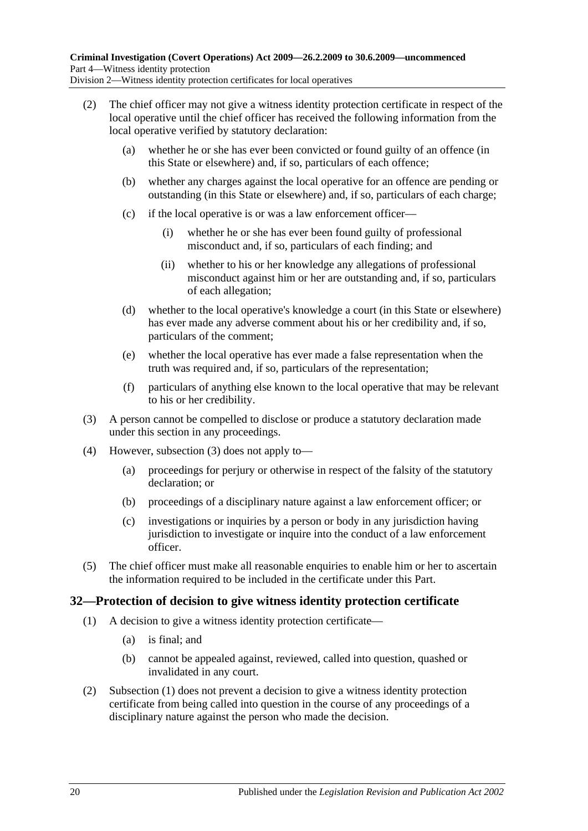- (2) The chief officer may not give a witness identity protection certificate in respect of the local operative until the chief officer has received the following information from the local operative verified by statutory declaration:
	- (a) whether he or she has ever been convicted or found guilty of an offence (in this State or elsewhere) and, if so, particulars of each offence;
	- (b) whether any charges against the local operative for an offence are pending or outstanding (in this State or elsewhere) and, if so, particulars of each charge;
	- (c) if the local operative is or was a law enforcement officer—
		- (i) whether he or she has ever been found guilty of professional misconduct and, if so, particulars of each finding; and
		- (ii) whether to his or her knowledge any allegations of professional misconduct against him or her are outstanding and, if so, particulars of each allegation;
	- (d) whether to the local operative's knowledge a court (in this State or elsewhere) has ever made any adverse comment about his or her credibility and, if so, particulars of the comment;
	- (e) whether the local operative has ever made a false representation when the truth was required and, if so, particulars of the representation;
	- (f) particulars of anything else known to the local operative that may be relevant to his or her credibility.
- <span id="page-19-1"></span>(3) A person cannot be compelled to disclose or produce a statutory declaration made under this section in any proceedings.
- (4) However, [subsection \(3\)](#page-19-1) does not apply to—
	- (a) proceedings for perjury or otherwise in respect of the falsity of the statutory declaration; or
	- (b) proceedings of a disciplinary nature against a law enforcement officer; or
	- (c) investigations or inquiries by a person or body in any jurisdiction having jurisdiction to investigate or inquire into the conduct of a law enforcement officer.
- (5) The chief officer must make all reasonable enquiries to enable him or her to ascertain the information required to be included in the certificate under this Part.

## <span id="page-19-2"></span><span id="page-19-0"></span>**32—Protection of decision to give witness identity protection certificate**

- (1) A decision to give a witness identity protection certificate—
	- (a) is final; and
	- (b) cannot be appealed against, reviewed, called into question, quashed or invalidated in any court.
- (2) [Subsection \(1\)](#page-19-2) does not prevent a decision to give a witness identity protection certificate from being called into question in the course of any proceedings of a disciplinary nature against the person who made the decision.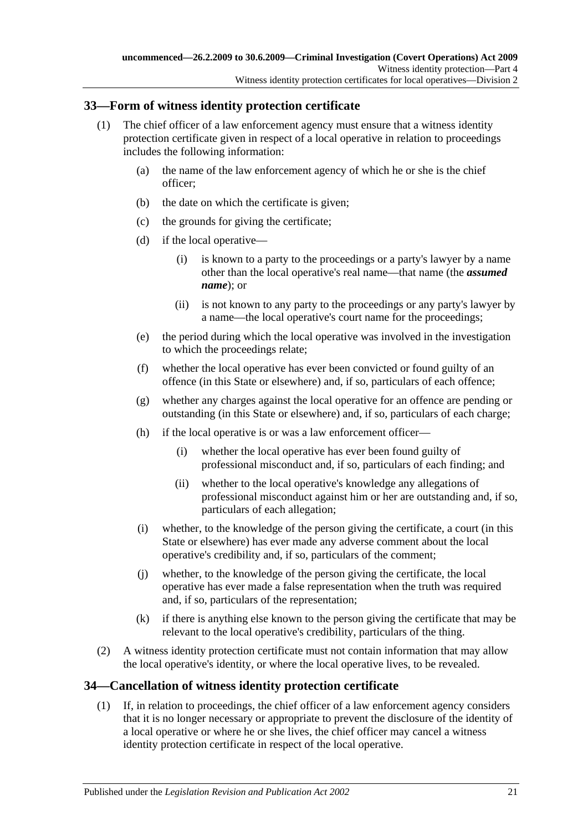## <span id="page-20-0"></span>**33—Form of witness identity protection certificate**

- <span id="page-20-2"></span>(1) The chief officer of a law enforcement agency must ensure that a witness identity protection certificate given in respect of a local operative in relation to proceedings includes the following information:
	- (a) the name of the law enforcement agency of which he or she is the chief officer;
	- (b) the date on which the certificate is given;
	- (c) the grounds for giving the certificate;
	- (d) if the local operative—
		- (i) is known to a party to the proceedings or a party's lawyer by a name other than the local operative's real name—that name (the *assumed name*); or
		- (ii) is not known to any party to the proceedings or any party's lawyer by a name—the local operative's court name for the proceedings;
	- (e) the period during which the local operative was involved in the investigation to which the proceedings relate;
	- (f) whether the local operative has ever been convicted or found guilty of an offence (in this State or elsewhere) and, if so, particulars of each offence;
	- (g) whether any charges against the local operative for an offence are pending or outstanding (in this State or elsewhere) and, if so, particulars of each charge;
	- (h) if the local operative is or was a law enforcement officer—
		- (i) whether the local operative has ever been found guilty of professional misconduct and, if so, particulars of each finding; and
		- (ii) whether to the local operative's knowledge any allegations of professional misconduct against him or her are outstanding and, if so, particulars of each allegation;
	- (i) whether, to the knowledge of the person giving the certificate, a court (in this State or elsewhere) has ever made any adverse comment about the local operative's credibility and, if so, particulars of the comment;
	- (j) whether, to the knowledge of the person giving the certificate, the local operative has ever made a false representation when the truth was required and, if so, particulars of the representation;
	- (k) if there is anything else known to the person giving the certificate that may be relevant to the local operative's credibility, particulars of the thing.
- (2) A witness identity protection certificate must not contain information that may allow the local operative's identity, or where the local operative lives, to be revealed.

## <span id="page-20-1"></span>**34—Cancellation of witness identity protection certificate**

(1) If, in relation to proceedings, the chief officer of a law enforcement agency considers that it is no longer necessary or appropriate to prevent the disclosure of the identity of a local operative or where he or she lives, the chief officer may cancel a witness identity protection certificate in respect of the local operative.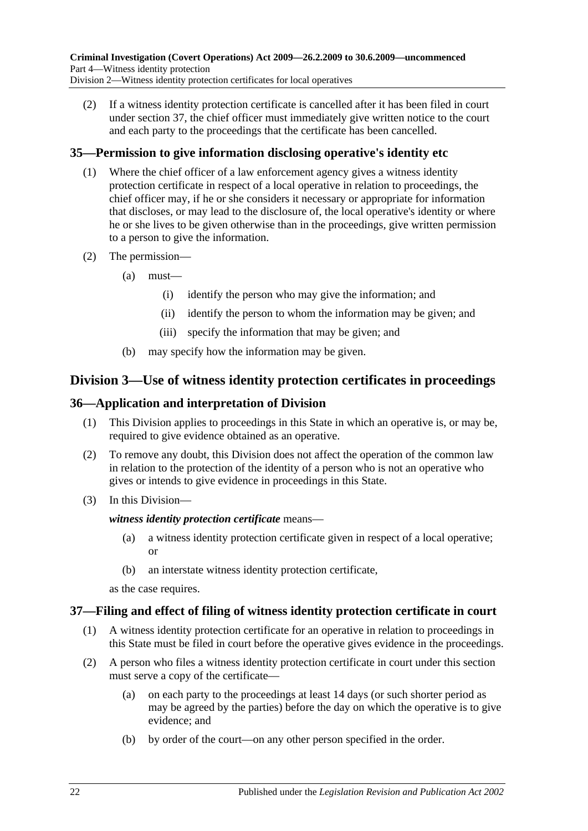(2) If a witness identity protection certificate is cancelled after it has been filed in court under [section](#page-21-3) 37, the chief officer must immediately give written notice to the court and each party to the proceedings that the certificate has been cancelled.

## <span id="page-21-0"></span>**35—Permission to give information disclosing operative's identity etc**

- (1) Where the chief officer of a law enforcement agency gives a witness identity protection certificate in respect of a local operative in relation to proceedings, the chief officer may, if he or she considers it necessary or appropriate for information that discloses, or may lead to the disclosure of, the local operative's identity or where he or she lives to be given otherwise than in the proceedings, give written permission to a person to give the information.
- (2) The permission—
	- (a) must—
		- (i) identify the person who may give the information; and
		- (ii) identify the person to whom the information may be given; and
		- (iii) specify the information that may be given; and
	- (b) may specify how the information may be given.

## <span id="page-21-1"></span>**Division 3—Use of witness identity protection certificates in proceedings**

## <span id="page-21-2"></span>**36—Application and interpretation of Division**

- (1) This Division applies to proceedings in this State in which an operative is, or may be, required to give evidence obtained as an operative.
- (2) To remove any doubt, this Division does not affect the operation of the common law in relation to the protection of the identity of a person who is not an operative who gives or intends to give evidence in proceedings in this State.
- (3) In this Division—

#### *witness identity protection certificate* means—

- (a) a witness identity protection certificate given in respect of a local operative; or
- (b) an interstate witness identity protection certificate,

as the case requires.

## <span id="page-21-3"></span>**37—Filing and effect of filing of witness identity protection certificate in court**

- (1) A witness identity protection certificate for an operative in relation to proceedings in this State must be filed in court before the operative gives evidence in the proceedings.
- (2) A person who files a witness identity protection certificate in court under this section must serve a copy of the certificate—
	- (a) on each party to the proceedings at least 14 days (or such shorter period as may be agreed by the parties) before the day on which the operative is to give evidence; and
	- (b) by order of the court—on any other person specified in the order.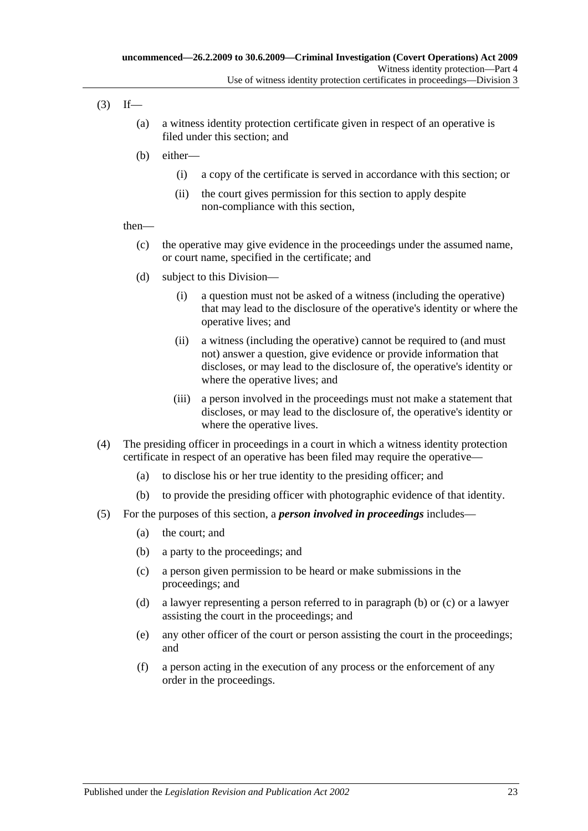- $(3)$  If—
	- (a) a witness identity protection certificate given in respect of an operative is filed under this section; and
	- (b) either—
		- (i) a copy of the certificate is served in accordance with this section; or
		- (ii) the court gives permission for this section to apply despite non-compliance with this section,

#### then—

- (c) the operative may give evidence in the proceedings under the assumed name, or court name, specified in the certificate; and
- (d) subject to this Division—
	- (i) a question must not be asked of a witness (including the operative) that may lead to the disclosure of the operative's identity or where the operative lives; and
	- (ii) a witness (including the operative) cannot be required to (and must not) answer a question, give evidence or provide information that discloses, or may lead to the disclosure of, the operative's identity or where the operative lives; and
	- (iii) a person involved in the proceedings must not make a statement that discloses, or may lead to the disclosure of, the operative's identity or where the operative lives.
- (4) The presiding officer in proceedings in a court in which a witness identity protection certificate in respect of an operative has been filed may require the operative—
	- (a) to disclose his or her true identity to the presiding officer; and
	- (b) to provide the presiding officer with photographic evidence of that identity.
- <span id="page-22-1"></span><span id="page-22-0"></span>(5) For the purposes of this section, a *person involved in proceedings* includes—
	- (a) the court; and
	- (b) a party to the proceedings; and
	- (c) a person given permission to be heard or make submissions in the proceedings; and
	- (d) a lawyer representing a person referred to in [paragraph](#page-22-0) (b) or [\(c\)](#page-22-1) or a lawyer assisting the court in the proceedings; and
	- (e) any other officer of the court or person assisting the court in the proceedings; and
	- (f) a person acting in the execution of any process or the enforcement of any order in the proceedings.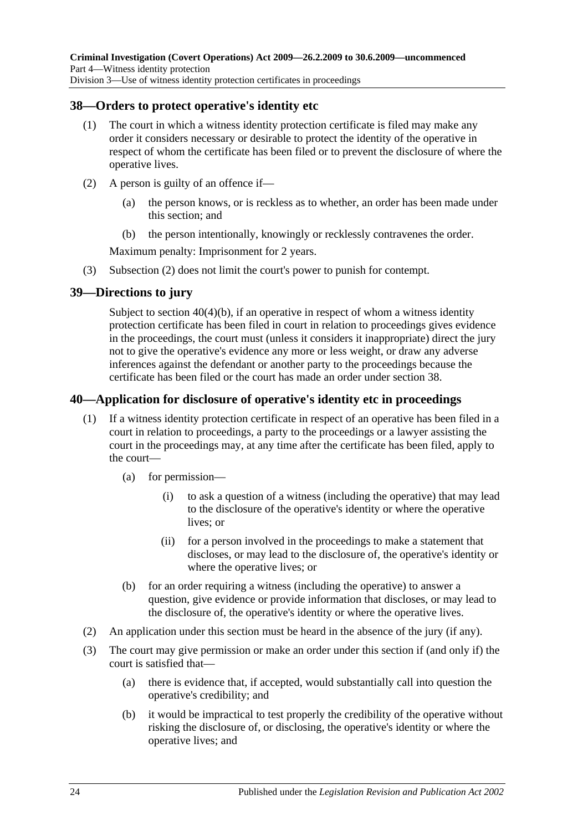## <span id="page-23-0"></span>**38—Orders to protect operative's identity etc**

- (1) The court in which a witness identity protection certificate is filed may make any order it considers necessary or desirable to protect the identity of the operative in respect of whom the certificate has been filed or to prevent the disclosure of where the operative lives.
- <span id="page-23-3"></span>(2) A person is guilty of an offence if—
	- (a) the person knows, or is reckless as to whether, an order has been made under this section; and
	- (b) the person intentionally, knowingly or recklessly contravenes the order.

Maximum penalty: Imprisonment for 2 years.

(3) [Subsection \(2\)](#page-23-3) does not limit the court's power to punish for contempt.

## <span id="page-23-1"></span>**39—Directions to jury**

Subject to section [40\(4\)\(b\),](#page-24-1) if an operative in respect of whom a witness identity protection certificate has been filed in court in relation to proceedings gives evidence in the proceedings, the court must (unless it considers it inappropriate) direct the jury not to give the operative's evidence any more or less weight, or draw any adverse inferences against the defendant or another party to the proceedings because the certificate has been filed or the court has made an order under [section](#page-23-0) 38.

## <span id="page-23-2"></span>**40—Application for disclosure of operative's identity etc in proceedings**

- (1) If a witness identity protection certificate in respect of an operative has been filed in a court in relation to proceedings, a party to the proceedings or a lawyer assisting the court in the proceedings may, at any time after the certificate has been filed, apply to the court—
	- (a) for permission—
		- (i) to ask a question of a witness (including the operative) that may lead to the disclosure of the operative's identity or where the operative lives; or
		- (ii) for a person involved in the proceedings to make a statement that discloses, or may lead to the disclosure of, the operative's identity or where the operative lives; or
	- (b) for an order requiring a witness (including the operative) to answer a question, give evidence or provide information that discloses, or may lead to the disclosure of, the operative's identity or where the operative lives.
- (2) An application under this section must be heard in the absence of the jury (if any).
- (3) The court may give permission or make an order under this section if (and only if) the court is satisfied that—
	- (a) there is evidence that, if accepted, would substantially call into question the operative's credibility; and
	- (b) it would be impractical to test properly the credibility of the operative without risking the disclosure of, or disclosing, the operative's identity or where the operative lives; and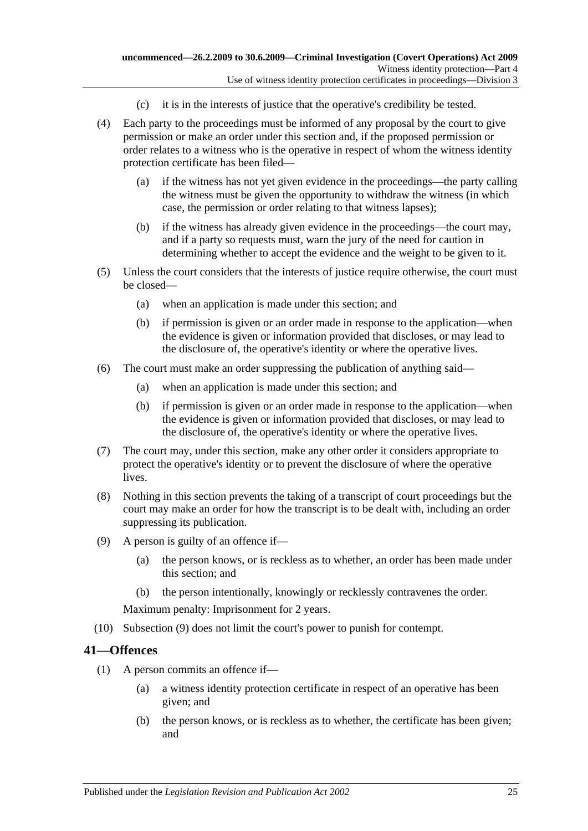- (c) it is in the interests of justice that the operative's credibility be tested.
- (4) Each party to the proceedings must be informed of any proposal by the court to give permission or make an order under this section and, if the proposed permission or order relates to a witness who is the operative in respect of whom the witness identity protection certificate has been filed—
	- (a) if the witness has not yet given evidence in the proceedings—the party calling the witness must be given the opportunity to withdraw the witness (in which case, the permission or order relating to that witness lapses);
	- (b) if the witness has already given evidence in the proceedings—the court may, and if a party so requests must, warn the jury of the need for caution in determining whether to accept the evidence and the weight to be given to it.
- <span id="page-24-1"></span>(5) Unless the court considers that the interests of justice require otherwise, the court must be closed—
	- (a) when an application is made under this section; and
	- (b) if permission is given or an order made in response to the application—when the evidence is given or information provided that discloses, or may lead to the disclosure of, the operative's identity or where the operative lives.
- (6) The court must make an order suppressing the publication of anything said—
	- (a) when an application is made under this section; and
	- (b) if permission is given or an order made in response to the application—when the evidence is given or information provided that discloses, or may lead to the disclosure of, the operative's identity or where the operative lives.
- (7) The court may, under this section, make any other order it considers appropriate to protect the operative's identity or to prevent the disclosure of where the operative lives.
- (8) Nothing in this section prevents the taking of a transcript of court proceedings but the court may make an order for how the transcript is to be dealt with, including an order suppressing its publication.
- <span id="page-24-2"></span>(9) A person is guilty of an offence if—
	- (a) the person knows, or is reckless as to whether, an order has been made under this section; and
	- (b) the person intentionally, knowingly or recklessly contravenes the order.

Maximum penalty: Imprisonment for 2 years.

(10) [Subsection \(9\)](#page-24-2) does not limit the court's power to punish for contempt.

#### <span id="page-24-3"></span><span id="page-24-0"></span>**41—Offences**

- (1) A person commits an offence if—
	- (a) a witness identity protection certificate in respect of an operative has been given; and
	- (b) the person knows, or is reckless as to whether, the certificate has been given; and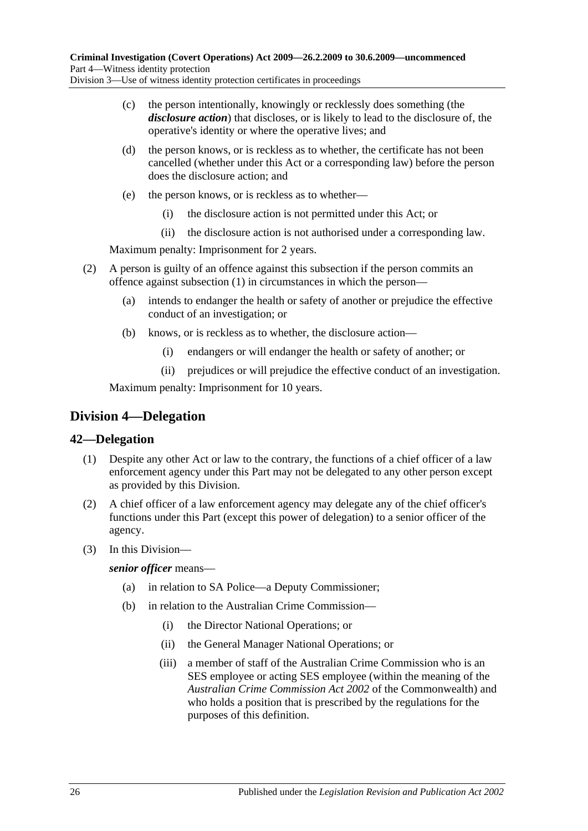- (c) the person intentionally, knowingly or recklessly does something (the *disclosure action*) that discloses, or is likely to lead to the disclosure of, the operative's identity or where the operative lives; and
- (d) the person knows, or is reckless as to whether, the certificate has not been cancelled (whether under this Act or a corresponding law) before the person does the disclosure action; and
- (e) the person knows, or is reckless as to whether—
	- (i) the disclosure action is not permitted under this Act; or
	- (ii) the disclosure action is not authorised under a corresponding law.

Maximum penalty: Imprisonment for 2 years.

- (2) A person is guilty of an offence against this subsection if the person commits an offence against [subsection](#page-24-3) (1) in circumstances in which the person—
	- (a) intends to endanger the health or safety of another or prejudice the effective conduct of an investigation; or
	- (b) knows, or is reckless as to whether, the disclosure action—
		- (i) endangers or will endanger the health or safety of another; or
		- (ii) prejudices or will prejudice the effective conduct of an investigation.

Maximum penalty: Imprisonment for 10 years.

## <span id="page-25-0"></span>**Division 4—Delegation**

## <span id="page-25-1"></span>**42—Delegation**

- (1) Despite any other Act or law to the contrary, the functions of a chief officer of a law enforcement agency under this Part may not be delegated to any other person except as provided by this Division.
- (2) A chief officer of a law enforcement agency may delegate any of the chief officer's functions under this Part (except this power of delegation) to a senior officer of the agency.
- (3) In this Division—

*senior officer* means—

- (a) in relation to SA Police—a Deputy Commissioner;
- (b) in relation to the Australian Crime Commission—
	- (i) the Director National Operations; or
	- (ii) the General Manager National Operations; or
	- (iii) a member of staff of the Australian Crime Commission who is an SES employee or acting SES employee (within the meaning of the *Australian Crime Commission Act 2002* of the Commonwealth) and who holds a position that is prescribed by the regulations for the purposes of this definition.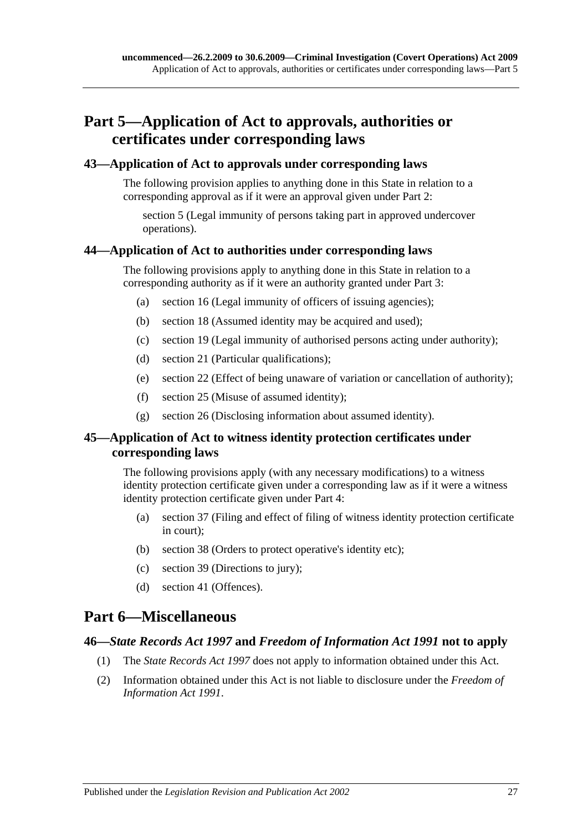## <span id="page-26-0"></span>**Part 5—Application of Act to approvals, authorities or certificates under corresponding laws**

#### <span id="page-26-1"></span>**43—Application of Act to approvals under corresponding laws**

The following provision applies to anything done in this State in relation to a corresponding approval as if it were an approval given under [Part 2:](#page-6-0)

[section](#page-7-0) 5 (Legal immunity of persons taking part in approved undercover operations).

#### <span id="page-26-2"></span>**44—Application of Act to authorities under corresponding laws**

The following provisions apply to anything done in this State in relation to a corresponding authority as if it were an authority granted under [Part 3:](#page-8-0)

- (a) [section](#page-12-3) 16 (Legal immunity of officers of issuing agencies);
- (b) [section](#page-13-2) 18 (Assumed identity may be acquired and used);
- (c) [section](#page-13-3) 19 (Legal immunity of authorised persons acting under authority);
- (d) [section](#page-14-0) 21 (Particular qualifications);
- (e) [section](#page-14-1) 22 (Effect of being unaware of variation or cancellation of authority);
- (f) [section](#page-15-2) 25 (Misuse of assumed identity);
- (g) [section](#page-16-0) 26 (Disclosing information about assumed identity).

## <span id="page-26-3"></span>**45—Application of Act to witness identity protection certificates under corresponding laws**

The following provisions apply (with any necessary modifications) to a witness identity protection certificate given under a corresponding law as if it were a witness identity protection certificate given under [Part 4:](#page-18-0)

- (a) [section](#page-21-3) 37 (Filing and effect of filing of witness identity protection certificate in court);
- (b) [section](#page-23-0) 38 (Orders to protect operative's identity etc);
- (c) [section](#page-23-1) 39 (Directions to jury);
- (d) [section](#page-24-0) 41 (Offences).

## <span id="page-26-4"></span>**Part 6—Miscellaneous**

#### <span id="page-26-5"></span>**46—***State Records Act 1997* **and** *Freedom of Information Act 1991* **not to apply**

- (1) The *[State Records Act](http://www.legislation.sa.gov.au/index.aspx?action=legref&type=act&legtitle=State%20Records%20Act%201997) 1997* does not apply to information obtained under this Act.
- (2) Information obtained under this Act is not liable to disclosure under the *[Freedom of](http://www.legislation.sa.gov.au/index.aspx?action=legref&type=act&legtitle=Freedom%20of%20Information%20Act%201991)  [Information Act](http://www.legislation.sa.gov.au/index.aspx?action=legref&type=act&legtitle=Freedom%20of%20Information%20Act%201991) 1991*.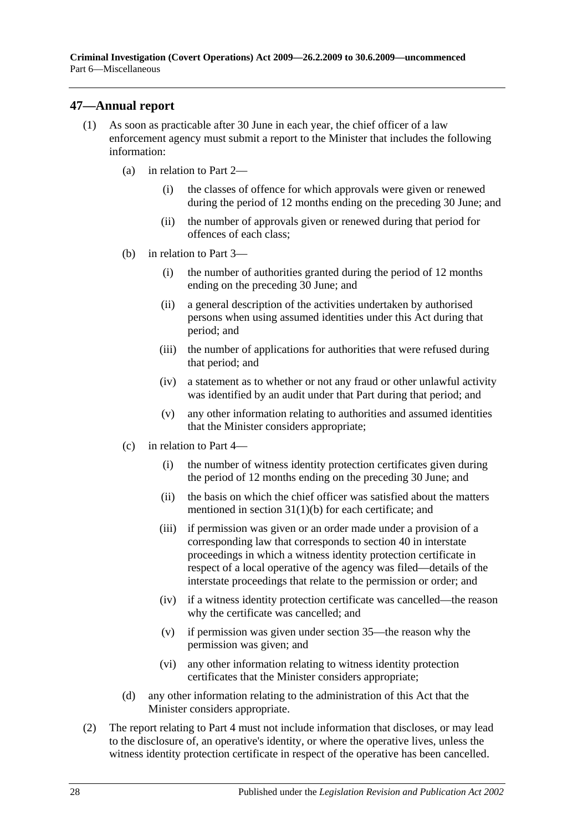## <span id="page-27-0"></span>**47—Annual report**

- (1) As soon as practicable after 30 June in each year, the chief officer of a law enforcement agency must submit a report to the Minister that includes the following information:
	- (a) in relation to [Part 2—](#page-6-0)
		- (i) the classes of offence for which approvals were given or renewed during the period of 12 months ending on the preceding 30 June; and
		- (ii) the number of approvals given or renewed during that period for offences of each class;
	- (b) in relation to [Part 3—](#page-8-0)
		- (i) the number of authorities granted during the period of 12 months ending on the preceding 30 June; and
		- (ii) a general description of the activities undertaken by authorised persons when using assumed identities under this Act during that period; and
		- (iii) the number of applications for authorities that were refused during that period; and
		- (iv) a statement as to whether or not any fraud or other unlawful activity was identified by an audit under that Part during that period; and
		- (v) any other information relating to authorities and assumed identities that the Minister considers appropriate;
	- (c) in relation to [Part 4—](#page-18-0)
		- (i) the number of witness identity protection certificates given during the period of 12 months ending on the preceding 30 June; and
		- (ii) the basis on which the chief officer was satisfied about the matters mentioned in section [31\(1\)\(b\)](#page-18-5) for each certificate; and
		- (iii) if permission was given or an order made under a provision of a corresponding law that corresponds to [section](#page-23-2) 40 in interstate proceedings in which a witness identity protection certificate in respect of a local operative of the agency was filed—details of the interstate proceedings that relate to the permission or order; and
		- (iv) if a witness identity protection certificate was cancelled—the reason why the certificate was cancelled; and
		- (v) if permission was given under [section](#page-21-0) 35—the reason why the permission was given; and
		- (vi) any other information relating to witness identity protection certificates that the Minister considers appropriate;
	- (d) any other information relating to the administration of this Act that the Minister considers appropriate.
- (2) The report relating to [Part 4](#page-18-0) must not include information that discloses, or may lead to the disclosure of, an operative's identity, or where the operative lives, unless the witness identity protection certificate in respect of the operative has been cancelled.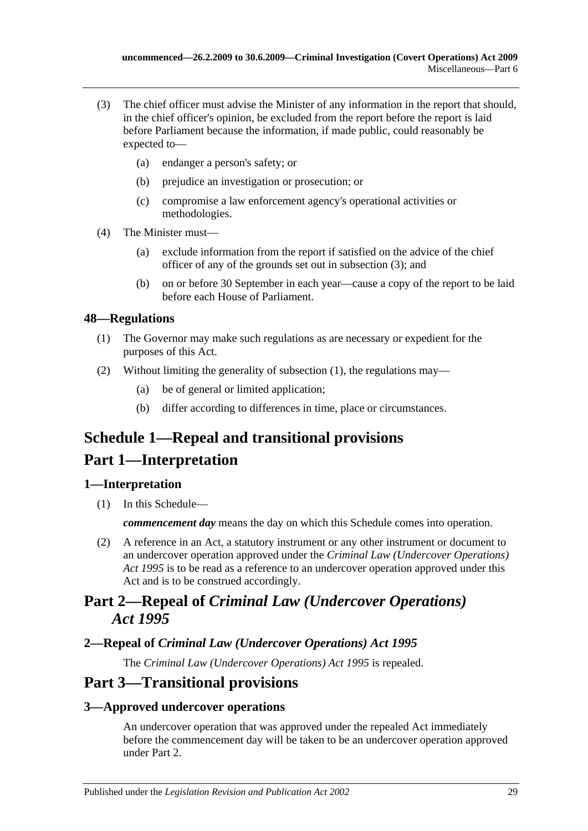- <span id="page-28-5"></span>(3) The chief officer must advise the Minister of any information in the report that should, in the chief officer's opinion, be excluded from the report before the report is laid before Parliament because the information, if made public, could reasonably be expected to—
	- (a) endanger a person's safety; or
	- (b) prejudice an investigation or prosecution; or
	- (c) compromise a law enforcement agency's operational activities or methodologies.
- (4) The Minister must—
	- (a) exclude information from the report if satisfied on the advice of the chief officer of any of the grounds set out in [subsection](#page-28-5) (3); and
	- (b) on or before 30 September in each year—cause a copy of the report to be laid before each House of Parliament.

## <span id="page-28-6"></span><span id="page-28-0"></span>**48—Regulations**

- (1) The Governor may make such regulations as are necessary or expedient for the purposes of this Act.
- (2) Without limiting the generality of [subsection](#page-28-6) (1), the regulations may—
	- (a) be of general or limited application;
	- (b) differ according to differences in time, place or circumstances.

# <span id="page-28-1"></span>**Schedule 1—Repeal and transitional provisions**

## **Part 1—Interpretation**

## <span id="page-28-2"></span>**1—Interpretation**

(1) In this Schedule—

*commencement day* means the day on which this Schedule comes into operation.

(2) A reference in an Act, a statutory instrument or any other instrument or document to an undercover operation approved under the *[Criminal Law \(Undercover Operations\)](http://www.legislation.sa.gov.au/index.aspx?action=legref&type=act&legtitle=Criminal%20Law%20(Undercover%20Operations)%20Act%201995)  Act [1995](http://www.legislation.sa.gov.au/index.aspx?action=legref&type=act&legtitle=Criminal%20Law%20(Undercover%20Operations)%20Act%201995)* is to be read as a reference to an undercover operation approved under this Act and is to be construed accordingly.

## **Part 2—Repeal of** *Criminal Law (Undercover Operations) Act 1995*

## <span id="page-28-3"></span>**2—Repeal of** *Criminal Law (Undercover Operations) Act 1995*

The *[Criminal Law \(Undercover Operations\) Act](http://www.legislation.sa.gov.au/index.aspx?action=legref&type=act&legtitle=Criminal%20Law%20(Undercover%20Operations)%20Act%201995) 1995* is repealed.

## **Part 3—Transitional provisions**

## <span id="page-28-4"></span>**3—Approved undercover operations**

An undercover operation that was approved under the repealed Act immediately before the commencement day will be taken to be an undercover operation approved under [Part 2.](#page-6-0)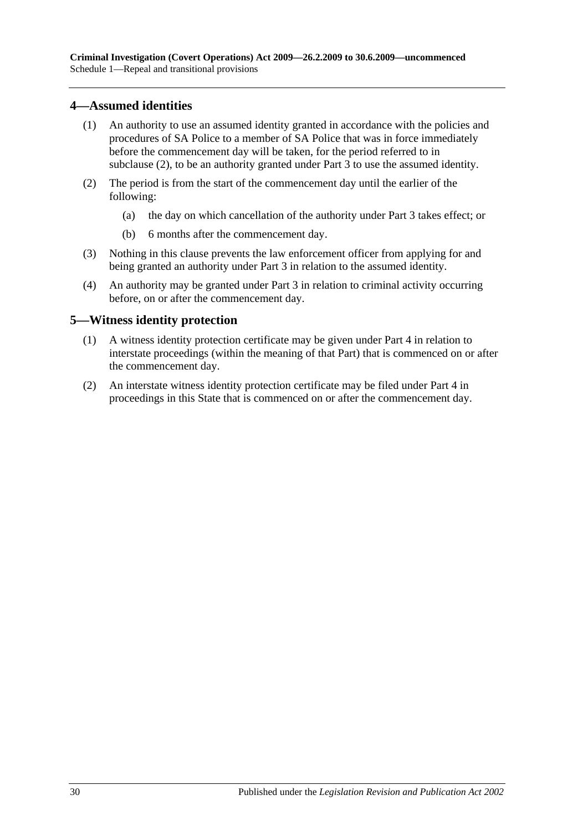## <span id="page-29-0"></span>**4—Assumed identities**

- (1) An authority to use an assumed identity granted in accordance with the policies and procedures of SA Police to a member of SA Police that was in force immediately before the commencement day will be taken, for the period referred to in [subclause](#page-29-2) (2), to be an authority granted under [Part 3](#page-8-0) to use the assumed identity.
- <span id="page-29-2"></span>(2) The period is from the start of the commencement day until the earlier of the following:
	- (a) the day on which cancellation of the authority under [Part 3](#page-8-0) takes effect; or
	- (b) 6 months after the commencement day.
- (3) Nothing in this clause prevents the law enforcement officer from applying for and being granted an authority under [Part 3](#page-8-0) in relation to the assumed identity.
- (4) An authority may be granted under [Part 3](#page-8-0) in relation to criminal activity occurring before, on or after the commencement day.

#### <span id="page-29-1"></span>**5—Witness identity protection**

- (1) A witness identity protection certificate may be given under [Part 4](#page-18-0) in relation to interstate proceedings (within the meaning of that Part) that is commenced on or after the commencement day.
- (2) An interstate witness identity protection certificate may be filed under [Part 4](#page-18-0) in proceedings in this State that is commenced on or after the commencement day.